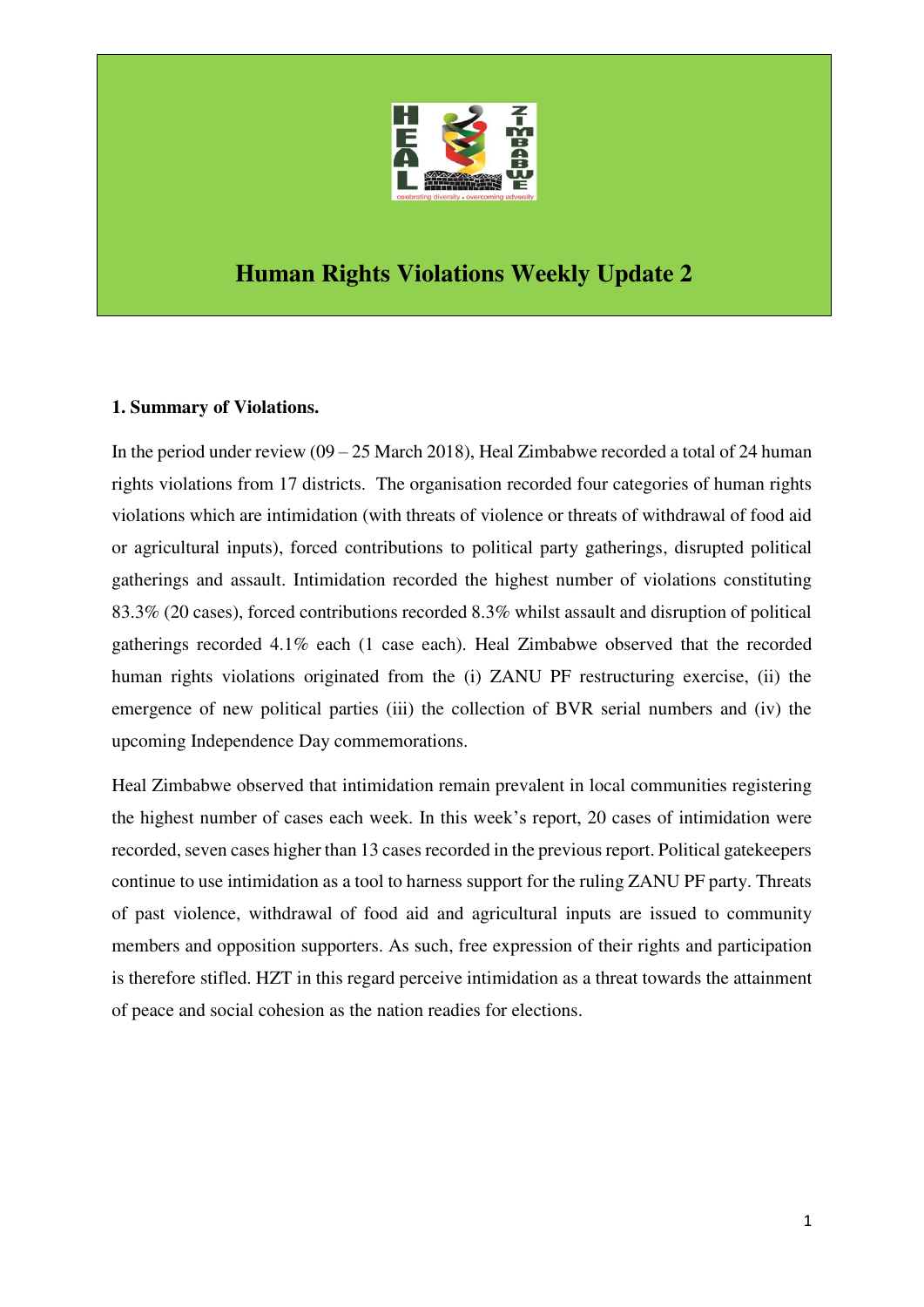

# **Human Rights Violations Weekly Update 2**

## **1. Summary of Violations.**

In the period under review  $(09 - 25$  March 2018), Heal Zimbabwe recorded a total of 24 human rights violations from 17 districts. The organisation recorded four categories of human rights violations which are intimidation (with threats of violence or threats of withdrawal of food aid or agricultural inputs), forced contributions to political party gatherings, disrupted political gatherings and assault. Intimidation recorded the highest number of violations constituting 83.3% (20 cases), forced contributions recorded 8.3% whilst assault and disruption of political gatherings recorded 4.1% each (1 case each). Heal Zimbabwe observed that the recorded human rights violations originated from the (i) ZANU PF restructuring exercise, (ii) the emergence of new political parties (iii) the collection of BVR serial numbers and (iv) the upcoming Independence Day commemorations.

Heal Zimbabwe observed that intimidation remain prevalent in local communities registering the highest number of cases each week. In this week's report, 20 cases of intimidation were recorded, seven cases higher than 13 cases recorded in the previous report. Political gatekeepers continue to use intimidation as a tool to harness support for the ruling ZANU PF party. Threats of past violence, withdrawal of food aid and agricultural inputs are issued to community members and opposition supporters. As such, free expression of their rights and participation is therefore stifled. HZT in this regard perceive intimidation as a threat towards the attainment of peace and social cohesion as the nation readies for elections.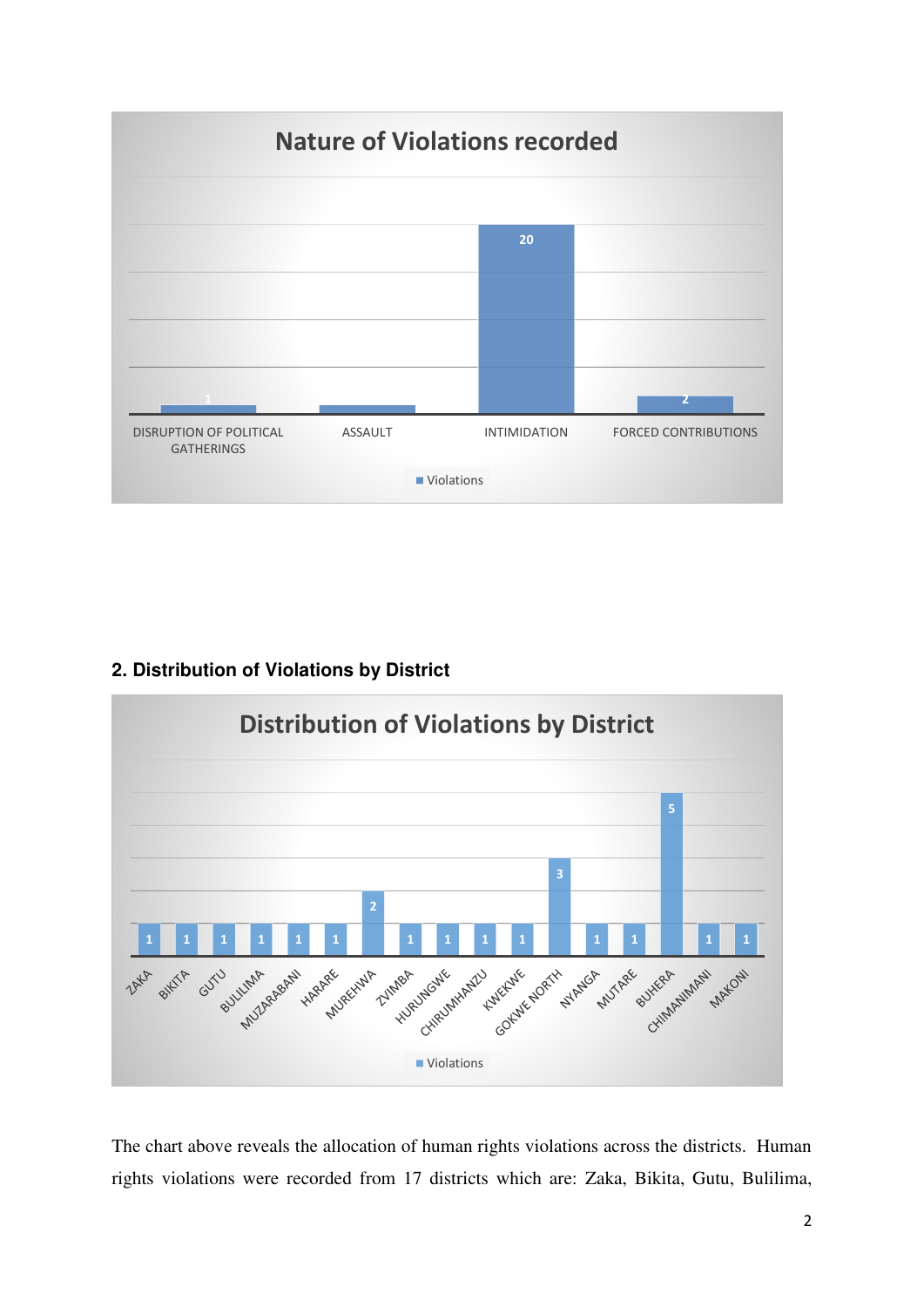

# **2. Distribution of Violations by District**



The chart above reveals the allocation of human rights violations across the districts. Human rights violations were recorded from 17 districts which are: Zaka, Bikita, Gutu, Bulilima,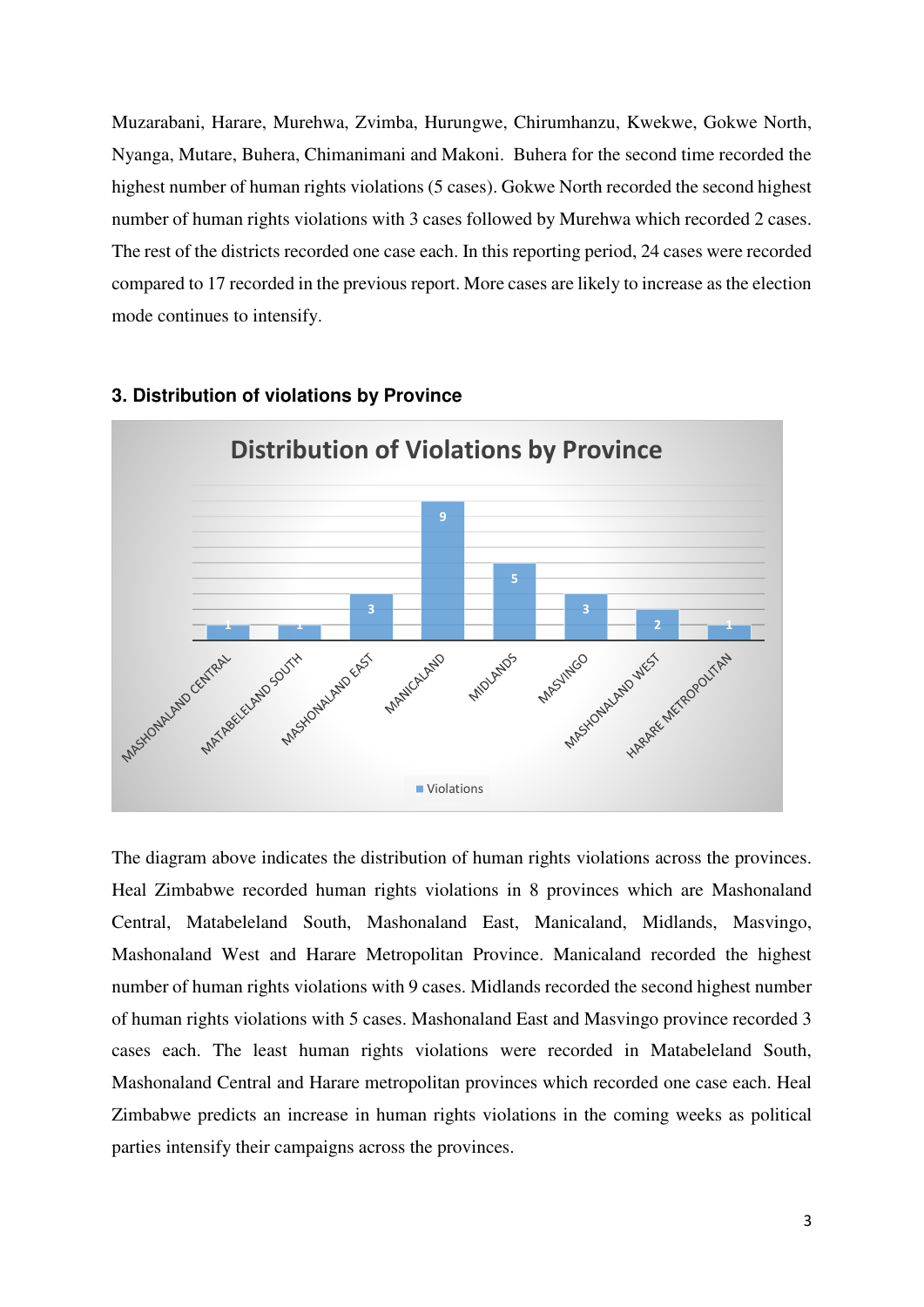Muzarabani, Harare, Murehwa, Zvimba, Hurungwe, Chirumhanzu, Kwekwe, Gokwe North, Nyanga, Mutare, Buhera, Chimanimani and Makoni. Buhera for the second time recorded the highest number of human rights violations (5 cases). Gokwe North recorded the second highest number of human rights violations with 3 cases followed by Murehwa which recorded 2 cases. The rest of the districts recorded one case each. In this reporting period, 24 cases were recorded compared to 17 recorded in the previous report. More cases are likely to increase as the election mode continues to intensify.



#### **3. Distribution of violations by Province**

The diagram above indicates the distribution of human rights violations across the provinces. Heal Zimbabwe recorded human rights violations in 8 provinces which are Mashonaland Central, Matabeleland South, Mashonaland East, Manicaland, Midlands, Masvingo, Mashonaland West and Harare Metropolitan Province. Manicaland recorded the highest number of human rights violations with 9 cases. Midlands recorded the second highest number of human rights violations with 5 cases. Mashonaland East and Masvingo province recorded 3 cases each. The least human rights violations were recorded in Matabeleland South, Mashonaland Central and Harare metropolitan provinces which recorded one case each. Heal Zimbabwe predicts an increase in human rights violations in the coming weeks as political parties intensify their campaigns across the provinces.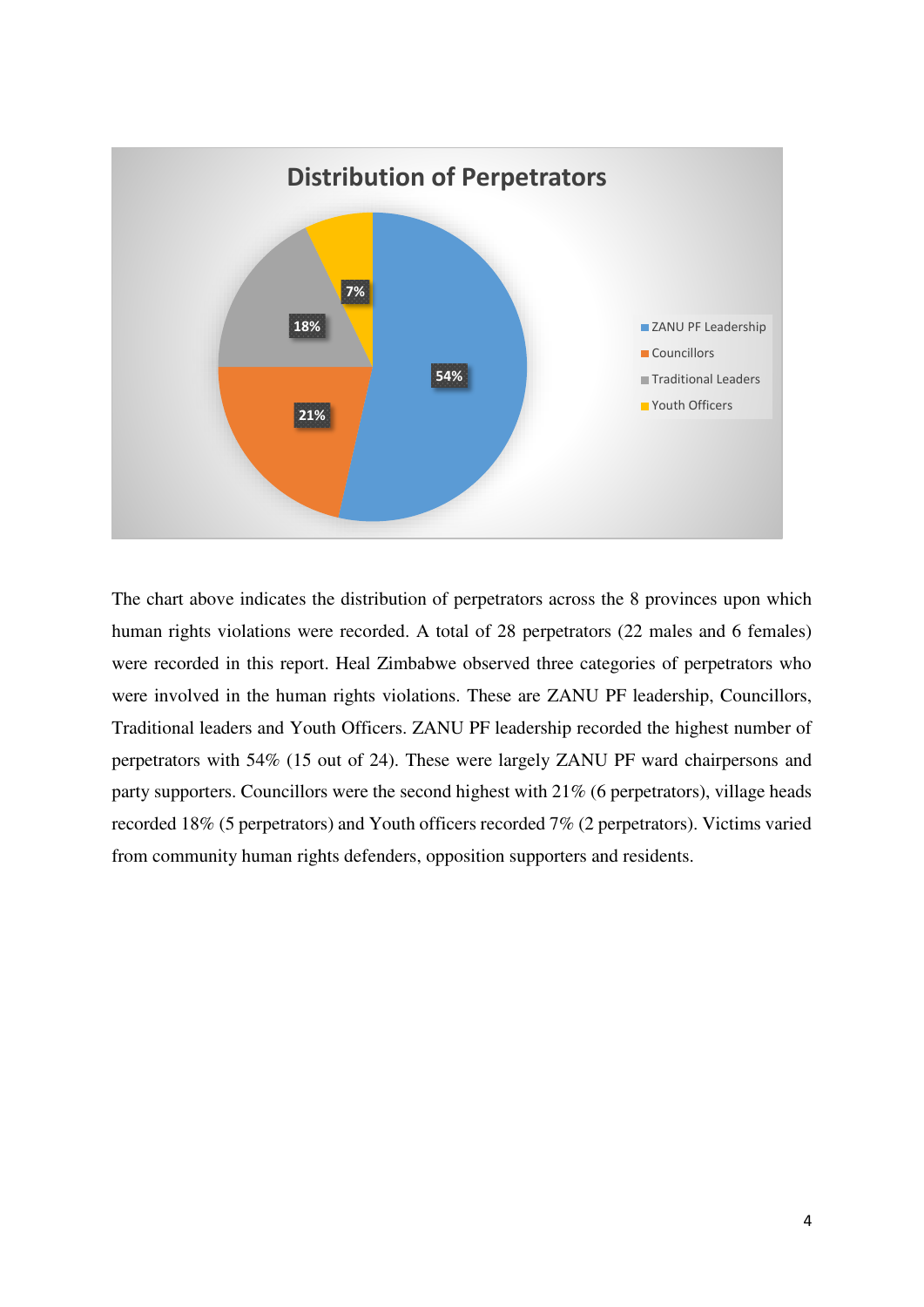

The chart above indicates the distribution of perpetrators across the 8 provinces upon which human rights violations were recorded. A total of 28 perpetrators (22 males and 6 females) were recorded in this report. Heal Zimbabwe observed three categories of perpetrators who were involved in the human rights violations. These are ZANU PF leadership, Councillors, Traditional leaders and Youth Officers. ZANU PF leadership recorded the highest number of perpetrators with 54% (15 out of 24). These were largely ZANU PF ward chairpersons and party supporters. Councillors were the second highest with 21% (6 perpetrators), village heads recorded 18% (5 perpetrators) and Youth officers recorded 7% (2 perpetrators). Victims varied from community human rights defenders, opposition supporters and residents.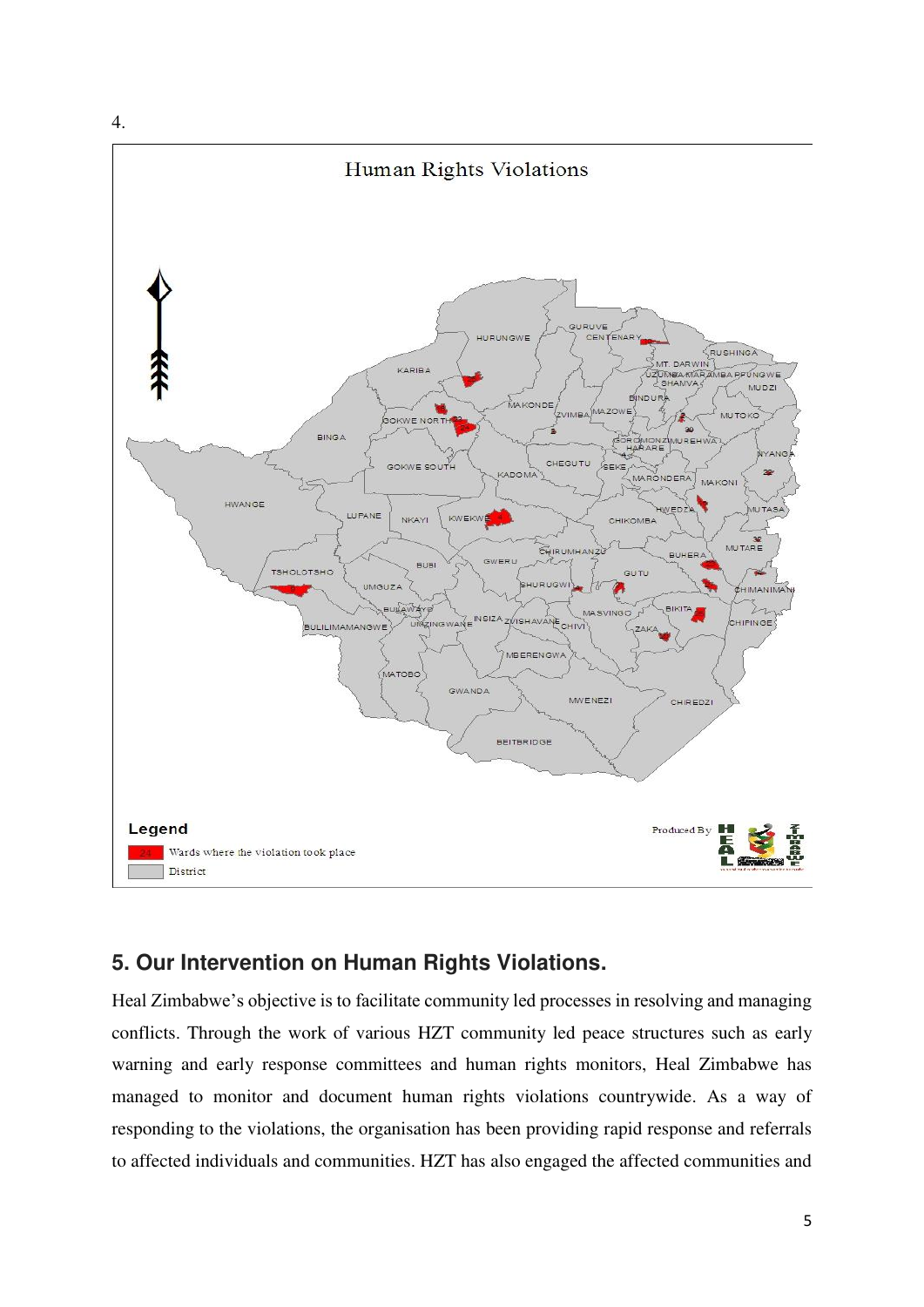

# **5. Our Intervention on Human Rights Violations.**

Heal Zimbabwe's objective is to facilitate community led processes in resolving and managing conflicts. Through the work of various HZT community led peace structures such as early warning and early response committees and human rights monitors, Heal Zimbabwe has managed to monitor and document human rights violations countrywide. As a way of responding to the violations, the organisation has been providing rapid response and referrals to affected individuals and communities. HZT has also engaged the affected communities and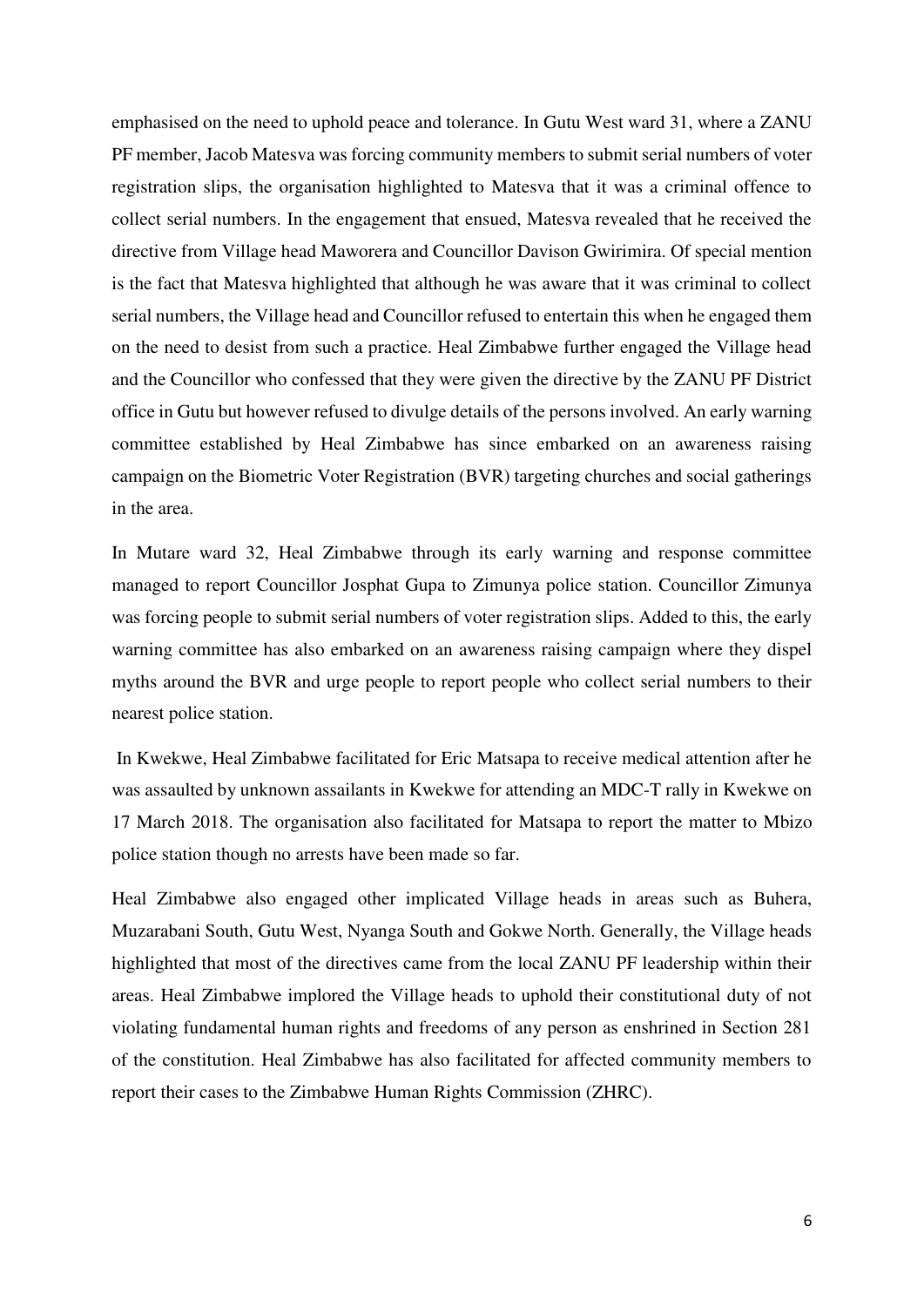emphasised on the need to uphold peace and tolerance. In Gutu West ward 31, where a ZANU PF member, Jacob Matesva was forcing community members to submit serial numbers of voter registration slips, the organisation highlighted to Matesva that it was a criminal offence to collect serial numbers. In the engagement that ensued, Matesva revealed that he received the directive from Village head Maworera and Councillor Davison Gwirimira. Of special mention is the fact that Matesva highlighted that although he was aware that it was criminal to collect serial numbers, the Village head and Councillor refused to entertain this when he engaged them on the need to desist from such a practice. Heal Zimbabwe further engaged the Village head and the Councillor who confessed that they were given the directive by the ZANU PF District office in Gutu but however refused to divulge details of the persons involved. An early warning committee established by Heal Zimbabwe has since embarked on an awareness raising campaign on the Biometric Voter Registration (BVR) targeting churches and social gatherings in the area.

In Mutare ward 32, Heal Zimbabwe through its early warning and response committee managed to report Councillor Josphat Gupa to Zimunya police station. Councillor Zimunya was forcing people to submit serial numbers of voter registration slips. Added to this, the early warning committee has also embarked on an awareness raising campaign where they dispel myths around the BVR and urge people to report people who collect serial numbers to their nearest police station.

 In Kwekwe, Heal Zimbabwe facilitated for Eric Matsapa to receive medical attention after he was assaulted by unknown assailants in Kwekwe for attending an MDC-T rally in Kwekwe on 17 March 2018. The organisation also facilitated for Matsapa to report the matter to Mbizo police station though no arrests have been made so far.

Heal Zimbabwe also engaged other implicated Village heads in areas such as Buhera, Muzarabani South, Gutu West, Nyanga South and Gokwe North. Generally, the Village heads highlighted that most of the directives came from the local ZANU PF leadership within their areas. Heal Zimbabwe implored the Village heads to uphold their constitutional duty of not violating fundamental human rights and freedoms of any person as enshrined in Section 281 of the constitution. Heal Zimbabwe has also facilitated for affected community members to report their cases to the Zimbabwe Human Rights Commission (ZHRC).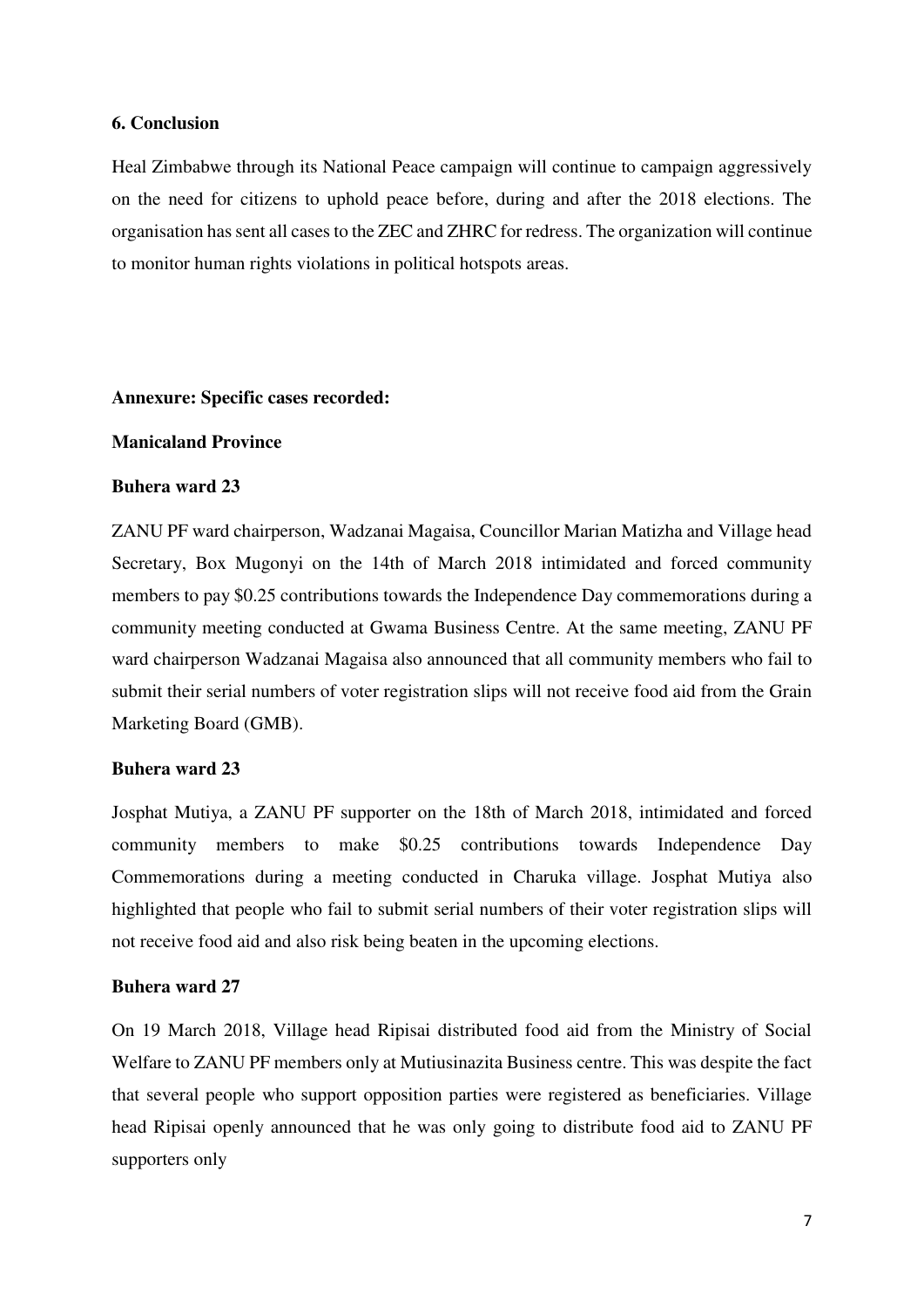#### **6. Conclusion**

Heal Zimbabwe through its National Peace campaign will continue to campaign aggressively on the need for citizens to uphold peace before, during and after the 2018 elections. The organisation has sent all cases to the ZEC and ZHRC for redress. The organization will continue to monitor human rights violations in political hotspots areas.

#### **Annexure: Specific cases recorded:**

## **Manicaland Province**

#### **Buhera ward 23**

ZANU PF ward chairperson, Wadzanai Magaisa, Councillor Marian Matizha and Village head Secretary, Box Mugonyi on the 14th of March 2018 intimidated and forced community members to pay \$0.25 contributions towards the Independence Day commemorations during a community meeting conducted at Gwama Business Centre. At the same meeting, ZANU PF ward chairperson Wadzanai Magaisa also announced that all community members who fail to submit their serial numbers of voter registration slips will not receive food aid from the Grain Marketing Board (GMB).

#### **Buhera ward 23**

Josphat Mutiya, a ZANU PF supporter on the 18th of March 2018, intimidated and forced community members to make \$0.25 contributions towards Independence Day Commemorations during a meeting conducted in Charuka village. Josphat Mutiya also highlighted that people who fail to submit serial numbers of their voter registration slips will not receive food aid and also risk being beaten in the upcoming elections.

#### **Buhera ward 27**

On 19 March 2018, Village head Ripisai distributed food aid from the Ministry of Social Welfare to ZANU PF members only at Mutiusinazita Business centre. This was despite the fact that several people who support opposition parties were registered as beneficiaries. Village head Ripisai openly announced that he was only going to distribute food aid to ZANU PF supporters only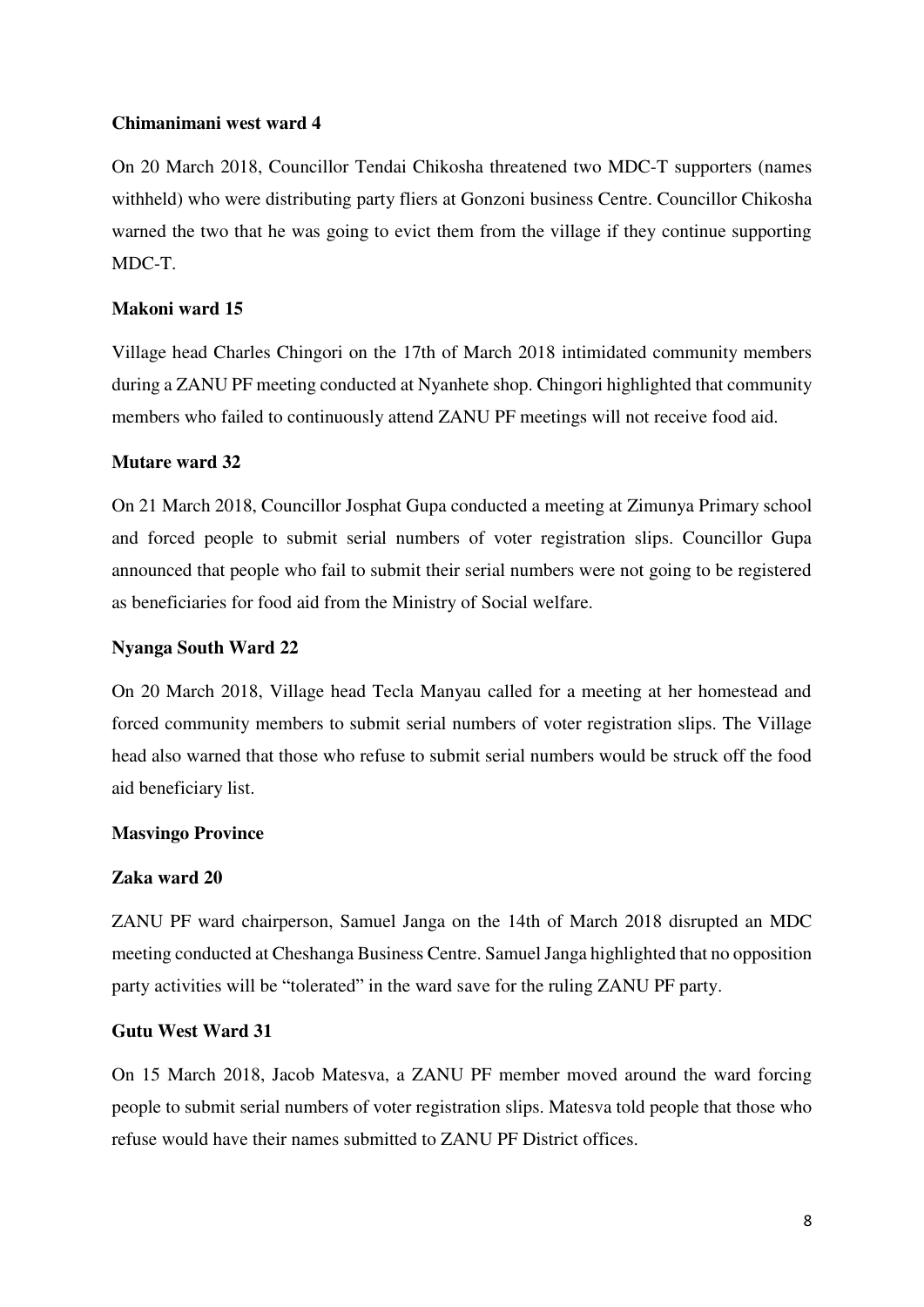## **Chimanimani west ward 4**

On 20 March 2018, Councillor Tendai Chikosha threatened two MDC-T supporters (names withheld) who were distributing party fliers at Gonzoni business Centre. Councillor Chikosha warned the two that he was going to evict them from the village if they continue supporting MDC-T.

## **Makoni ward 15**

Village head Charles Chingori on the 17th of March 2018 intimidated community members during a ZANU PF meeting conducted at Nyanhete shop. Chingori highlighted that community members who failed to continuously attend ZANU PF meetings will not receive food aid.

## **Mutare ward 32**

On 21 March 2018, Councillor Josphat Gupa conducted a meeting at Zimunya Primary school and forced people to submit serial numbers of voter registration slips. Councillor Gupa announced that people who fail to submit their serial numbers were not going to be registered as beneficiaries for food aid from the Ministry of Social welfare.

## **Nyanga South Ward 22**

On 20 March 2018, Village head Tecla Manyau called for a meeting at her homestead and forced community members to submit serial numbers of voter registration slips. The Village head also warned that those who refuse to submit serial numbers would be struck off the food aid beneficiary list.

## **Masvingo Province**

## **Zaka ward 20**

ZANU PF ward chairperson, Samuel Janga on the 14th of March 2018 disrupted an MDC meeting conducted at Cheshanga Business Centre. Samuel Janga highlighted that no opposition party activities will be "tolerated" in the ward save for the ruling ZANU PF party.

## **Gutu West Ward 31**

On 15 March 2018, Jacob Matesva, a ZANU PF member moved around the ward forcing people to submit serial numbers of voter registration slips. Matesva told people that those who refuse would have their names submitted to ZANU PF District offices.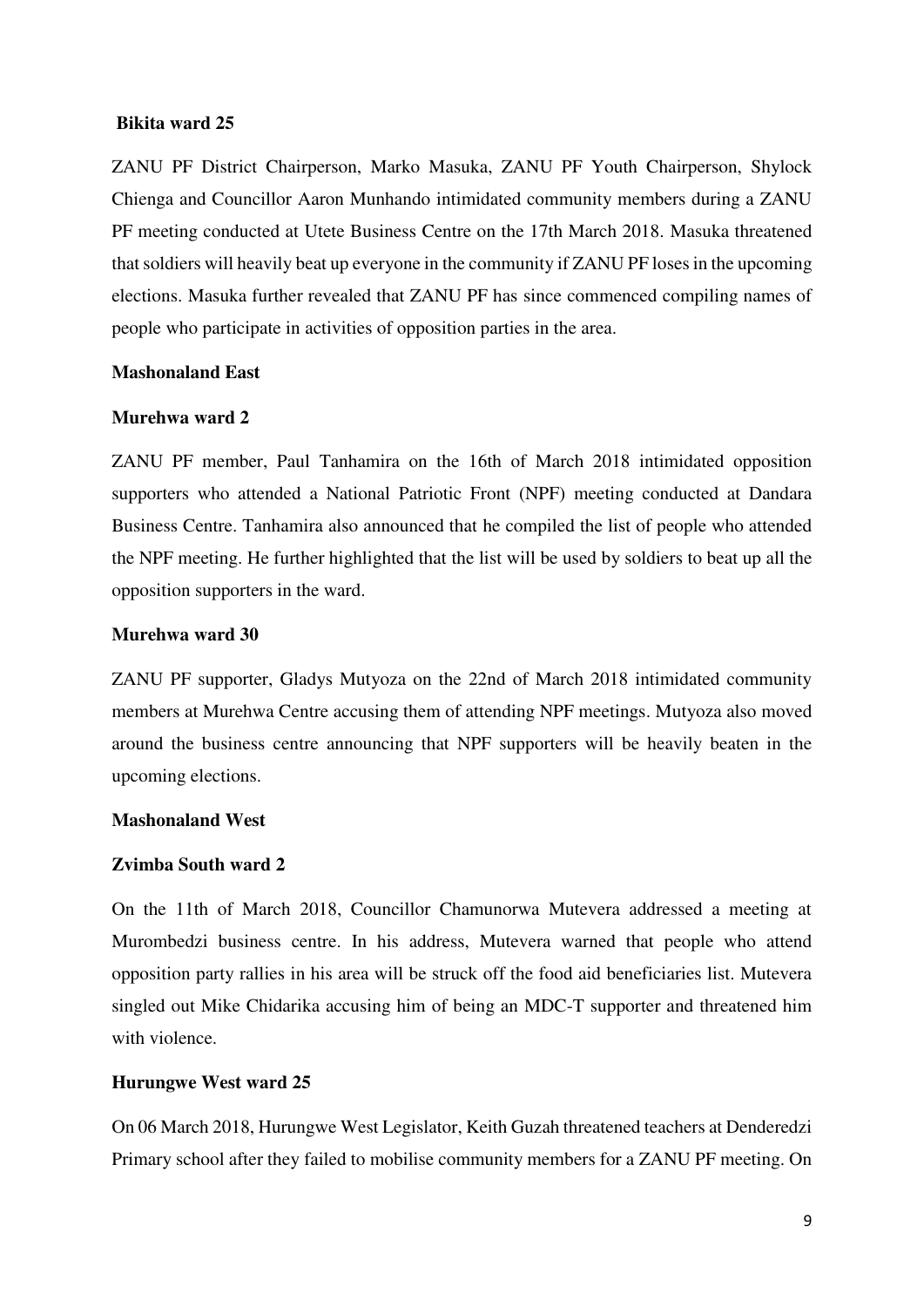#### **Bikita ward 25**

ZANU PF District Chairperson, Marko Masuka, ZANU PF Youth Chairperson, Shylock Chienga and Councillor Aaron Munhando intimidated community members during a ZANU PF meeting conducted at Utete Business Centre on the 17th March 2018. Masuka threatened that soldiers will heavily beat up everyone in the community if ZANU PF loses in the upcoming elections. Masuka further revealed that ZANU PF has since commenced compiling names of people who participate in activities of opposition parties in the area.

#### **Mashonaland East**

## **Murehwa ward 2**

ZANU PF member, Paul Tanhamira on the 16th of March 2018 intimidated opposition supporters who attended a National Patriotic Front (NPF) meeting conducted at Dandara Business Centre. Tanhamira also announced that he compiled the list of people who attended the NPF meeting. He further highlighted that the list will be used by soldiers to beat up all the opposition supporters in the ward.

#### **Murehwa ward 30**

ZANU PF supporter, Gladys Mutyoza on the 22nd of March 2018 intimidated community members at Murehwa Centre accusing them of attending NPF meetings. Mutyoza also moved around the business centre announcing that NPF supporters will be heavily beaten in the upcoming elections.

#### **Mashonaland West**

### **Zvimba South ward 2**

On the 11th of March 2018, Councillor Chamunorwa Mutevera addressed a meeting at Murombedzi business centre. In his address, Mutevera warned that people who attend opposition party rallies in his area will be struck off the food aid beneficiaries list. Mutevera singled out Mike Chidarika accusing him of being an MDC-T supporter and threatened him with violence.

#### **Hurungwe West ward 25**

On 06 March 2018, Hurungwe West Legislator, Keith Guzah threatened teachers at Denderedzi Primary school after they failed to mobilise community members for a ZANU PF meeting. On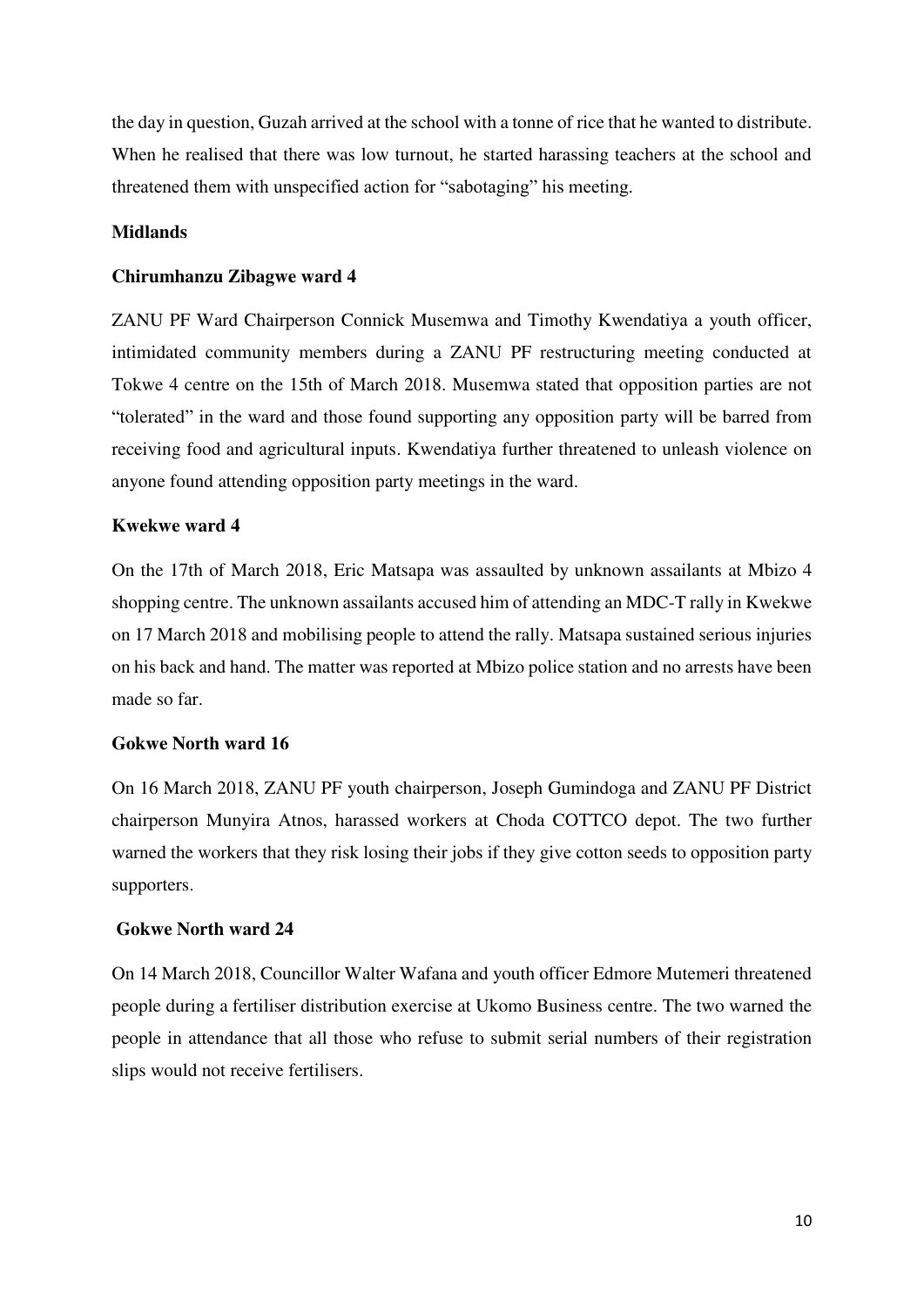the day in question, Guzah arrived at the school with a tonne of rice that he wanted to distribute. When he realised that there was low turnout, he started harassing teachers at the school and threatened them with unspecified action for "sabotaging" his meeting.

## **Midlands**

#### **Chirumhanzu Zibagwe ward 4**

ZANU PF Ward Chairperson Connick Musemwa and Timothy Kwendatiya a youth officer, intimidated community members during a ZANU PF restructuring meeting conducted at Tokwe 4 centre on the 15th of March 2018. Musemwa stated that opposition parties are not "tolerated" in the ward and those found supporting any opposition party will be barred from receiving food and agricultural inputs. Kwendatiya further threatened to unleash violence on anyone found attending opposition party meetings in the ward.

### **Kwekwe ward 4**

On the 17th of March 2018, Eric Matsapa was assaulted by unknown assailants at Mbizo 4 shopping centre. The unknown assailants accused him of attending an MDC-T rally in Kwekwe on 17 March 2018 and mobilising people to attend the rally. Matsapa sustained serious injuries on his back and hand. The matter was reported at Mbizo police station and no arrests have been made so far.

#### **Gokwe North ward 16**

On 16 March 2018, ZANU PF youth chairperson, Joseph Gumindoga and ZANU PF District chairperson Munyira Atnos, harassed workers at Choda COTTCO depot. The two further warned the workers that they risk losing their jobs if they give cotton seeds to opposition party supporters.

#### **Gokwe North ward 24**

On 14 March 2018, Councillor Walter Wafana and youth officer Edmore Mutemeri threatened people during a fertiliser distribution exercise at Ukomo Business centre. The two warned the people in attendance that all those who refuse to submit serial numbers of their registration slips would not receive fertilisers.